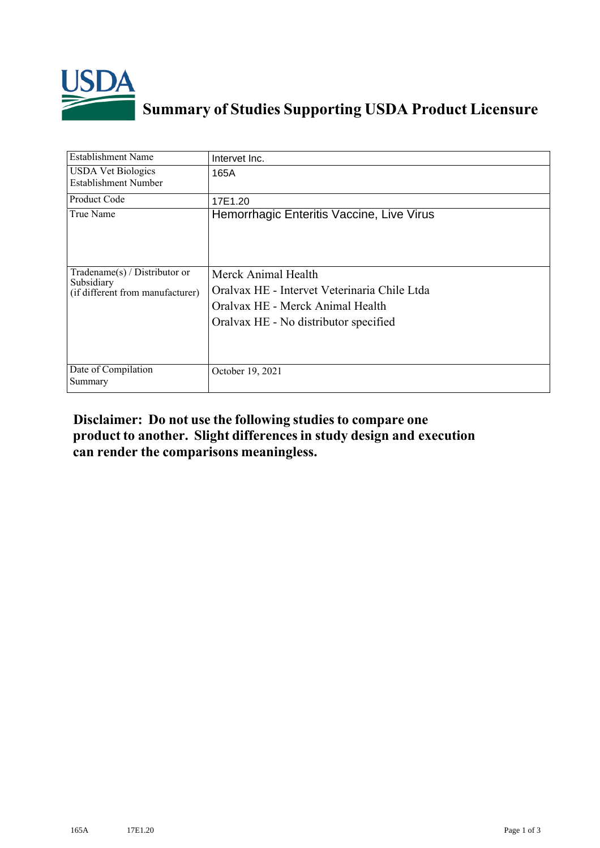

## **Summary of Studies Supporting USDA Product Licensure**

| <b>Establishment Name</b>                                                       | Intervet Inc.                                                                                                                                    |
|---------------------------------------------------------------------------------|--------------------------------------------------------------------------------------------------------------------------------------------------|
| <b>USDA Vet Biologics</b><br><b>Establishment Number</b>                        | 165A                                                                                                                                             |
| <b>Product Code</b>                                                             | 17E1.20                                                                                                                                          |
| True Name                                                                       | Hemorrhagic Enteritis Vaccine, Live Virus                                                                                                        |
| Tradename(s) / Distributor or<br>Subsidiary<br>(if different from manufacturer) | Merck Animal Health<br>Oralvax HE - Intervet Veterinaria Chile Ltda<br>Oralvax HE - Merck Animal Health<br>Oralvax HE - No distributor specified |
| Date of Compilation<br>Summary                                                  | October 19, 2021                                                                                                                                 |

## **Disclaimer: Do not use the following studiesto compare one product to another. Slight differencesin study design and execution can render the comparisons meaningless.**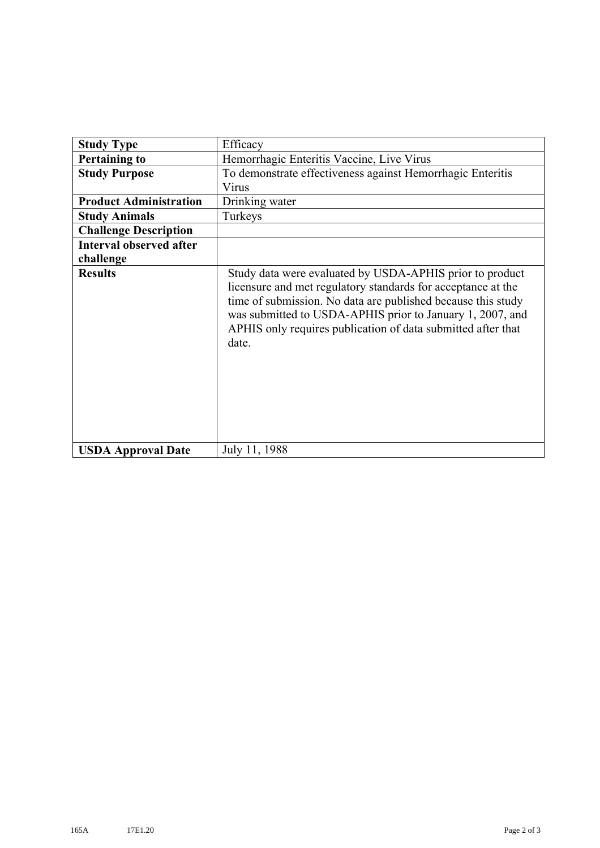| <b>Study Type</b>              | Efficacy                                                                                                                                                                                                                                                                                                                       |
|--------------------------------|--------------------------------------------------------------------------------------------------------------------------------------------------------------------------------------------------------------------------------------------------------------------------------------------------------------------------------|
| <b>Pertaining to</b>           | Hemorrhagic Enteritis Vaccine, Live Virus                                                                                                                                                                                                                                                                                      |
| <b>Study Purpose</b>           | To demonstrate effectiveness against Hemorrhagic Enteritis<br>Virus                                                                                                                                                                                                                                                            |
| <b>Product Administration</b>  | Drinking water                                                                                                                                                                                                                                                                                                                 |
| <b>Study Animals</b>           | Turkeys                                                                                                                                                                                                                                                                                                                        |
| <b>Challenge Description</b>   |                                                                                                                                                                                                                                                                                                                                |
| <b>Interval observed after</b> |                                                                                                                                                                                                                                                                                                                                |
| challenge                      |                                                                                                                                                                                                                                                                                                                                |
| <b>Results</b>                 | Study data were evaluated by USDA-APHIS prior to product<br>licensure and met regulatory standards for acceptance at the<br>time of submission. No data are published because this study<br>was submitted to USDA-APHIS prior to January 1, 2007, and<br>APHIS only requires publication of data submitted after that<br>date. |
| <b>USDA Approval Date</b>      | July 11, 1988                                                                                                                                                                                                                                                                                                                  |